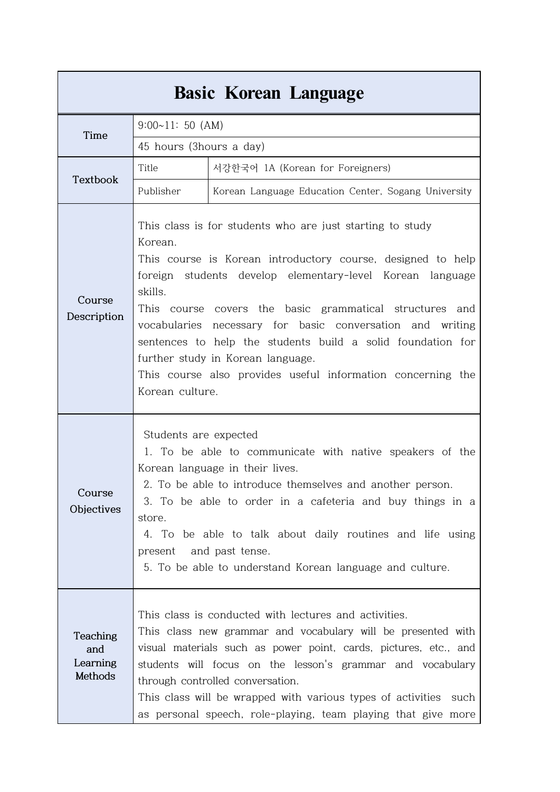|                                        |                                                                                                                                                                                                                                                                                                                                                                                                                                                                                                                           | <b>Basic Korean Language</b>                                                                                                                                                                                                                                                                                                                                                                                                        |  |
|----------------------------------------|---------------------------------------------------------------------------------------------------------------------------------------------------------------------------------------------------------------------------------------------------------------------------------------------------------------------------------------------------------------------------------------------------------------------------------------------------------------------------------------------------------------------------|-------------------------------------------------------------------------------------------------------------------------------------------------------------------------------------------------------------------------------------------------------------------------------------------------------------------------------------------------------------------------------------------------------------------------------------|--|
| Time                                   | $9:00~11:50$ (AM)                                                                                                                                                                                                                                                                                                                                                                                                                                                                                                         |                                                                                                                                                                                                                                                                                                                                                                                                                                     |  |
|                                        | 45 hours (3hours a day)                                                                                                                                                                                                                                                                                                                                                                                                                                                                                                   |                                                                                                                                                                                                                                                                                                                                                                                                                                     |  |
|                                        | Title                                                                                                                                                                                                                                                                                                                                                                                                                                                                                                                     | 서강한국어 1A (Korean for Foreigners)                                                                                                                                                                                                                                                                                                                                                                                                    |  |
| Textbook                               | Publisher                                                                                                                                                                                                                                                                                                                                                                                                                                                                                                                 | Korean Language Education Center, Sogang University                                                                                                                                                                                                                                                                                                                                                                                 |  |
| Course<br>Description                  | This class is for students who are just starting to study<br>Korean.<br>This course is Korean introductory course, designed to help<br>foreign students develop elementary-level Korean language<br>skills.<br>This course covers the basic grammatical structures and<br>vocabularies necessary for basic conversation and writing<br>sentences to help the students build a solid foundation for<br>further study in Korean language.<br>This course also provides useful information concerning the<br>Korean culture. |                                                                                                                                                                                                                                                                                                                                                                                                                                     |  |
| Course<br>Objectives                   | store.<br>present                                                                                                                                                                                                                                                                                                                                                                                                                                                                                                         | Students are expected<br>1. To be able to communicate with native speakers of the<br>Korean language in their lives.<br>2. To be able to introduce themselves and another person.<br>3. To be able to order in a cafeteria and buy things in a<br>4. To be able to talk about daily routines and life using<br>and past tense.<br>5. To be able to understand Korean language and culture.                                          |  |
| Teaching<br>and<br>Learning<br>Methods |                                                                                                                                                                                                                                                                                                                                                                                                                                                                                                                           | This class is conducted with lectures and activities.<br>This class new grammar and vocabulary will be presented with<br>visual materials such as power point, cards, pictures, etc., and<br>students will focus on the lesson's grammar and vocabulary<br>through controlled conversation.<br>This class will be wrapped with various types of activities<br>such<br>as personal speech, role-playing, team playing that give more |  |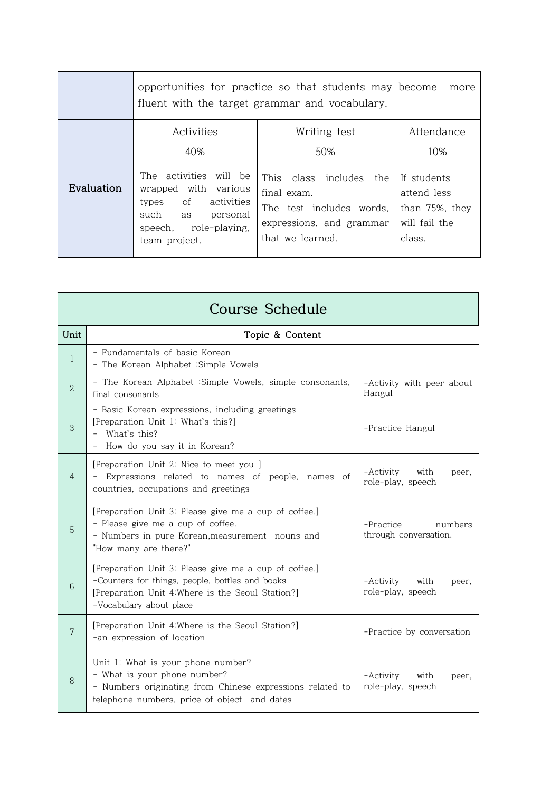|            | opportunities for practice so that students may become<br>more<br>fluent with the target grammar and vocabulary.                             |                                                                                                                    |                                                                         |  |  |
|------------|----------------------------------------------------------------------------------------------------------------------------------------------|--------------------------------------------------------------------------------------------------------------------|-------------------------------------------------------------------------|--|--|
|            | Activities                                                                                                                                   | Writing test                                                                                                       | Attendance                                                              |  |  |
|            | 40%                                                                                                                                          | 50%                                                                                                                | 10%                                                                     |  |  |
| Evaluation | The activities will be<br>wrapped with various<br>of activities<br>types<br>such<br>personal<br>as<br>speech, role-playing,<br>team project. | This class includes the<br>final exam.<br>The test includes words,<br>expressions, and grammar<br>that we learned. | If students<br>attend less<br>than 75%, they<br>will fail the<br>class. |  |  |

| <b>Course Schedule</b> |                                                                                                                                                                                          |                                                 |  |  |  |
|------------------------|------------------------------------------------------------------------------------------------------------------------------------------------------------------------------------------|-------------------------------------------------|--|--|--|
| Unit                   | Topic & Content                                                                                                                                                                          |                                                 |  |  |  |
| $\mathbf{1}$           | - Fundamentals of basic Korean<br>- The Korean Alphabet : Simple Vowels                                                                                                                  |                                                 |  |  |  |
| $\overline{2}$         | - The Korean Alphabet : Simple Vowels, simple consonants,<br>final consonants                                                                                                            | -Activity with peer about<br>Hangul             |  |  |  |
| 3                      | - Basic Korean expressions, including greetings<br>[Preparation Unit 1: What's this?]<br>- What's this?<br>- How do you say it in Korean?                                                | -Practice Hangul                                |  |  |  |
| 4                      | [Preparation Unit 2: Nice to meet you ]<br>- Expressions related to names of people, names of<br>countries, occupations and greetings                                                    | -Activity<br>with<br>peer.<br>role-play, speech |  |  |  |
| 5                      | [Preparation Unit 3: Please give me a cup of coffee.]<br>- Please give me a cup of coffee.<br>- Numbers in pure Korean, measurement nouns and<br>"How many are there?"                   | -Practice<br>numbers<br>through conversation.   |  |  |  |
| 6                      | [Preparation Unit 3: Please give me a cup of coffee.]<br>-Counters for things, people, bottles and books<br>[Preparation Unit 4: Where is the Seoul Station?]<br>-Vocabulary about place | -Activity<br>with<br>peer.<br>role-play, speech |  |  |  |
| $\overline{7}$         | [Preparation Unit 4: Where is the Seoul Station?]<br>-an expression of location                                                                                                          | -Practice by conversation                       |  |  |  |
| 8                      | Unit 1: What is your phone number?<br>- What is your phone number?<br>- Numbers originating from Chinese expressions related to<br>telephone numbers, price of object and dates          | -Activity<br>with<br>peer,<br>role-play, speech |  |  |  |